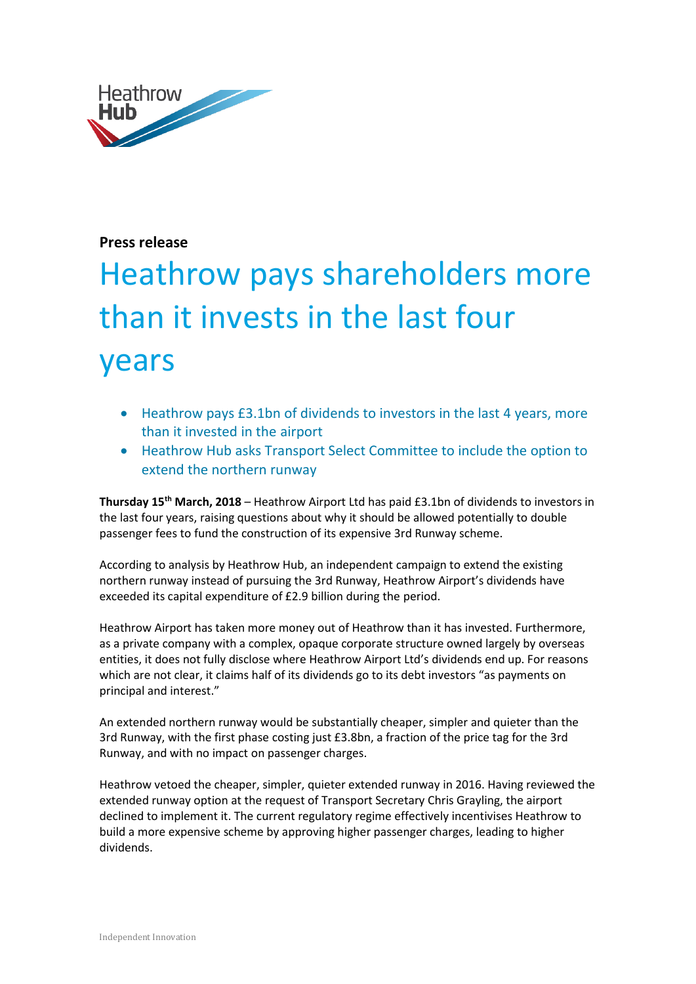

## **Press release**

## Heathrow pays shareholders more than it invests in the last four years

- Heathrow pays £3.1bn of dividends to investors in the last 4 years, more than it invested in the airport
- Heathrow Hub asks Transport Select Committee to include the option to extend the northern runway

**Thursday 15th March, 2018** – Heathrow Airport Ltd has paid £3.1bn of dividends to investors in the last four years, raising questions about why it should be allowed potentially to double passenger fees to fund the construction of its expensive 3rd Runway scheme.

According to analysis by Heathrow Hub, an independent campaign to extend the existing northern runway instead of pursuing the 3rd Runway, Heathrow Airport's dividends have exceeded its capital expenditure of £2.9 billion during the period.

Heathrow Airport has taken more money out of Heathrow than it has invested. Furthermore, as a private company with a complex, opaque corporate structure owned largely by overseas entities, it does not fully disclose where Heathrow Airport Ltd's dividends end up. For reasons which are not clear, it claims half of its dividends go to its debt investors "as payments on principal and interest."

An extended northern runway would be substantially cheaper, simpler and quieter than the 3rd Runway, with the first phase costing just £3.8bn, a fraction of the price tag for the 3rd Runway, and with no impact on passenger charges.

Heathrow vetoed the cheaper, simpler, quieter extended runway in 2016. Having reviewed the extended runway option at the request of Transport Secretary Chris Grayling, the airport declined to implement it. The current regulatory regime effectively incentivises Heathrow to build a more expensive scheme by approving higher passenger charges, leading to higher dividends.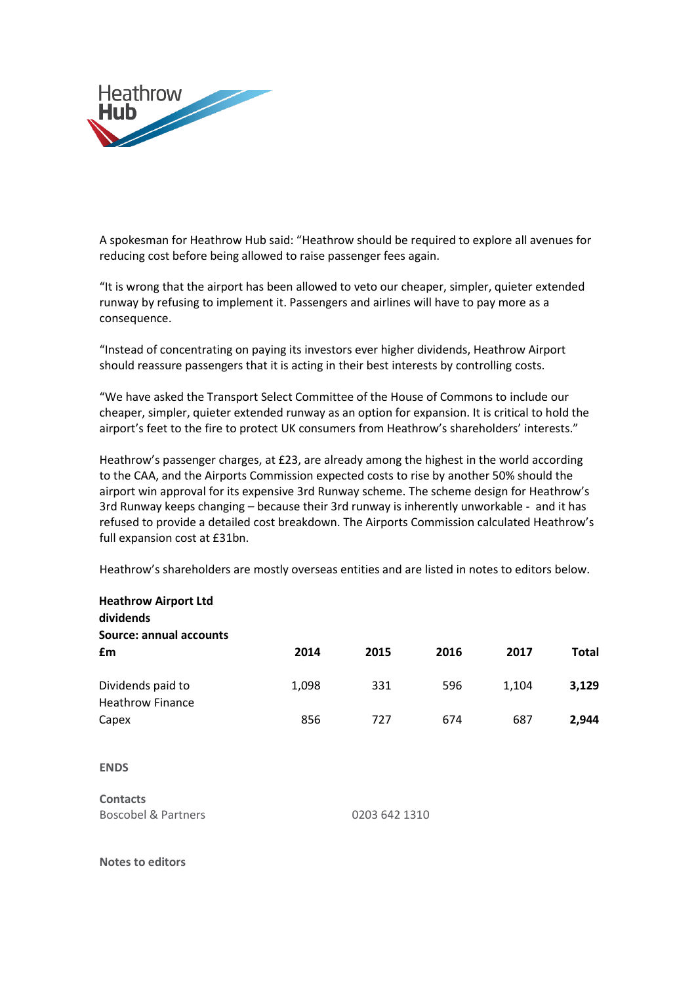

A spokesman for Heathrow Hub said: "Heathrow should be required to explore all avenues for reducing cost before being allowed to raise passenger fees again.

"It is wrong that the airport has been allowed to veto our cheaper, simpler, quieter extended runway by refusing to implement it. Passengers and airlines will have to pay more as a consequence.

"Instead of concentrating on paying its investors ever higher dividends, Heathrow Airport should reassure passengers that it is acting in their best interests by controlling costs.

"We have asked the Transport Select Committee of the House of Commons to include our cheaper, simpler, quieter extended runway as an option for expansion. It is critical to hold the airport's feet to the fire to protect UK consumers from Heathrow's shareholders' interests."

Heathrow's passenger charges, at £23, are already among the highest in the world according to the CAA, and the Airports Commission expected costs to rise by another 50% should the airport win approval for its expensive 3rd Runway scheme. The scheme design for Heathrow's 3rd Runway keeps changing – because their 3rd runway is inherently unworkable - and it has refused to provide a detailed cost breakdown. The Airports Commission calculated Heathrow's full expansion cost at £31bn.

Heathrow's shareholders are mostly overseas entities and are listed in notes to editors below.

| <b>Heathrow Airport Ltd</b><br>dividends     |               |      |      |       |              |
|----------------------------------------------|---------------|------|------|-------|--------------|
| Source: annual accounts                      |               |      |      |       |              |
| £m                                           | 2014          | 2015 | 2016 | 2017  | <b>Total</b> |
| Dividends paid to<br><b>Heathrow Finance</b> | 1,098         | 331  | 596  | 1,104 | 3,129        |
| Capex                                        | 856           | 727  | 674  | 687   | 2,944        |
| <b>ENDS</b>                                  |               |      |      |       |              |
| <b>Contacts</b>                              |               |      |      |       |              |
| <b>Boscobel &amp; Partners</b>               | 0203 642 1310 |      |      |       |              |

**Notes to editors**